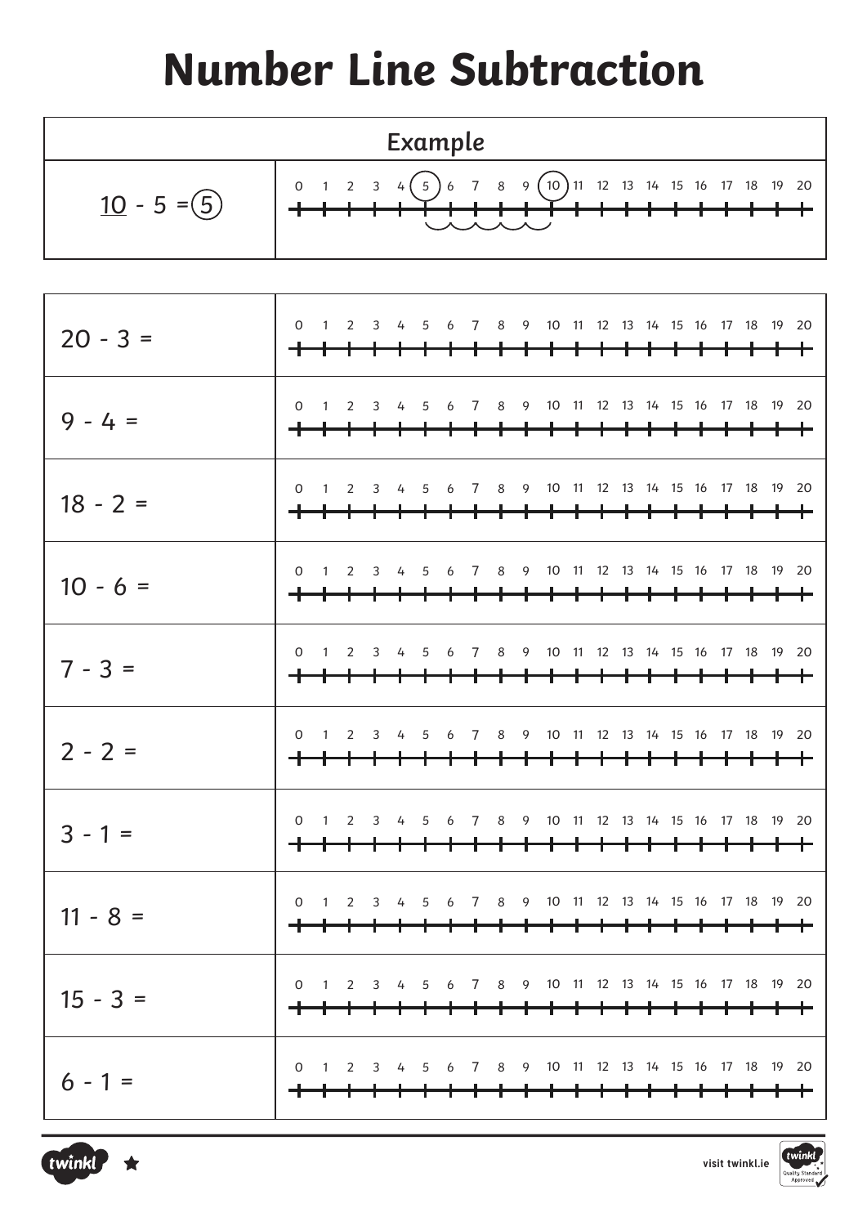## **Number Line Subtraction**

| Example        |                                                                                    |  |  |  |  |  |  |  |  |  |  |  |  |  |
|----------------|------------------------------------------------------------------------------------|--|--|--|--|--|--|--|--|--|--|--|--|--|
| $10 - 5 = (5)$ | 0 1 2 3 4 $(5)$ 6 7 8 9 $(10)$ 11 12 13 14 15 16 17 18 19 20<br><b>、 人 人 人 人 ノ</b> |  |  |  |  |  |  |  |  |  |  |  |  |  |

| $20 - 3 =$ | <del>+++++++++++++++++++++++++</del> | 0 1 2 3 4 5 6 7 8 9 10 11 12 13 14 15 16 17 18 19 20 |  |  |  |                                        |  |  |  |  |  |
|------------|--------------------------------------|------------------------------------------------------|--|--|--|----------------------------------------|--|--|--|--|--|
| $9 - 4 =$  | <del>++++++++++++++++++++++++</del>  | 0 1 2 3 4 5 6 7 8 9 10 11 12 13 14 15 16 17 18 19 20 |  |  |  |                                        |  |  |  |  |  |
| $18 - 2 =$ |                                      | 0 1 2 3 4 5 6 7 8 9 10 11 12 13 14 15 16 17 18 19 20 |  |  |  |                                        |  |  |  |  |  |
| $10 - 6 =$ | <del>+++++++++++++++++++++++++</del> | 0 1 2 3 4 5 6 7 8 9 10 11 12 13 14 15 16 17 18 19 20 |  |  |  |                                        |  |  |  |  |  |
| $7 - 3 =$  | <del>+++++++++++++++++++++++++</del> | 0 1 2 3 4 5 6 7 8 9 10 11 12 13 14 15 16 17 18 19 20 |  |  |  |                                        |  |  |  |  |  |
| $2 - 2 =$  | <del>++++++++++++++++++++++++</del>  | 0 1 2 3 4 5 6 7 8 9 10 11 12 13 14 15 16 17 18 19 20 |  |  |  |                                        |  |  |  |  |  |
| $3 - 1 =$  | <del>++++++++++++++++++++++++</del>  | 0 1 2 3 4 5 6 7 8 9 10 11 12 13 14 15 16 17 18 19 20 |  |  |  |                                        |  |  |  |  |  |
| $11 - 8 =$ | <del>+++++++++++++++++++++++</del>   | 0 1 2 3 4 5 6 7 8 9 10 11 12 13 14 15 16 17 18 19 20 |  |  |  |                                        |  |  |  |  |  |
| $15 - 3 =$ |                                      | 0 1 2 3 4 5 6 7 8 9 10 11 12 13 14 15 16 17 18 19 20 |  |  |  | <del>┪╸┪╸┪╸┪╸┪╸┪╸┪╸┪╸┪╸┪╸┪╸┪</del>     |  |  |  |  |  |
| $6 - 1 =$  |                                      | 0 1 2 3 4 5 6 7 8 9 10 11 12 13 14 15 16 17 18 19 20 |  |  |  | <del>┪╸┪╸┪╸┪╸┪╸┪╸┪╸┪╸┪╸┪╾┪╾┪╸┪╾┪</del> |  |  |  |  |  |